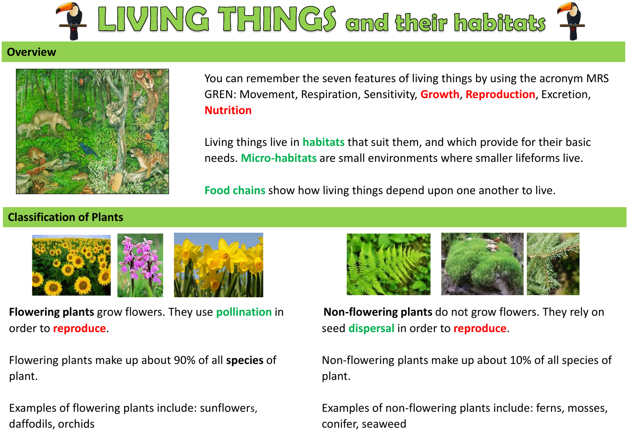

#### **Overview**



You can remember the seven features of living things by using the acronym MRS GREN: Movement, Respiration, Sensitivity, **Growth**, **Reproduction**, Excretion, **Nutrition**

Living things live in **habitats** that suit them, and which provide for their basic needs. **Micro-habitats** are small environments where smaller lifeforms live.

**Food chains** show how living things depend upon one another to live.

## **Classification of Plants**



**Flowering plants** grow flowers. They use **pollination** in order to **reproduce**.

Flowering plants make up about 90% of all **species** of plant.

Examples of flowering plants include: sunflowers, daffodils, orchids



**Non-flowering plants** do not grow flowers. They rely on seed **dispersal** in order to **reproduce**.

Non-flowering plants make up about 10% of all species of plant.

Examples of non-flowering plants include: ferns, mosses, conifer, seaweed